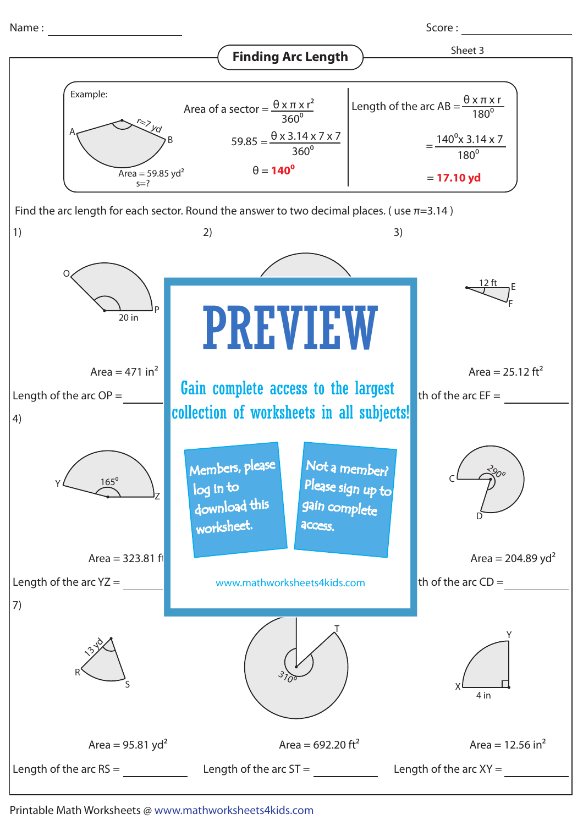